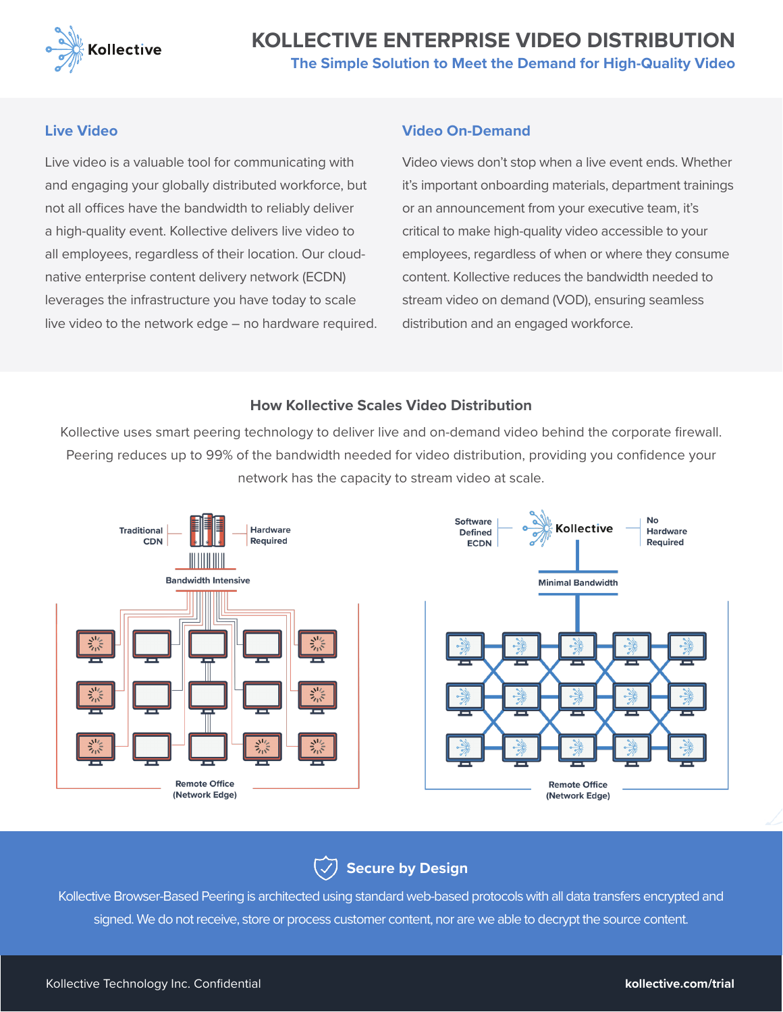

## **KOLLECTIVE ENTERPRISE VIDEO DISTRIBUTI The Simple Solution to Meet the Demand for High-Quality Video**

#### **Live Video**

Live video is a valuable tool for communicating with and engaging your globally distributed workforce, but not all offices have the bandwidth to reliably deliver a high-quality event. Kollective delivers live video to all employees, regardless of their location. Our cloudnative enterprise content delivery network (ECDN) leverages the infrastructure you have today to scale live video to the network edge – no hardware required.

#### **Video On-Demand**

Video views don't stop when a live event ends. Whether it's important onboarding materials, department trainings or an announcement from your executive team, it's critical to make high-quality video accessible to your employees, regardless of when or where they consume content. Kollective reduces the bandwidth needed to stream video on demand (VOD), ensuring seamless distribution and an engaged workforce.

#### **How Kollective Scales Video Distribution**

Kollective uses smart peering technology to deliver live and on-demand video behind the corporate firewall. Peering reduces up to 99% of the bandwidth needed for video distribution, providing you confidence your network has the capacity to stream video at scale.



**Secure by Design**

Kollective Browser-Based Peering is architected using standard web-based protocols with all data transfers encrypted and signed. We do not receive, store or process customer content, nor are we able to decrypt the source content.